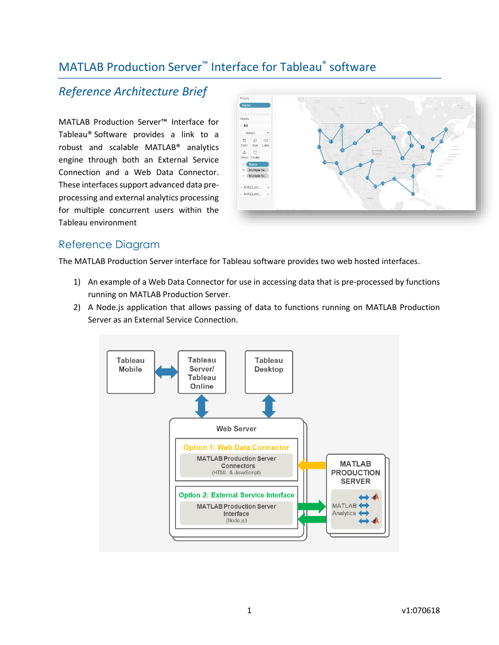# MATLAB Production Server<sup>™</sup> Interface for Tableau® software

## *Reference Architecture Brief*

MATLAB Production Server™ Interface for Tableau® Software provides a link to a robust and scalable MATLAB® analytics engine through both an External Service Connection and a Web Data Connector. These interfaces support advanced data preprocessing and external analytics processing for multiple concurrent users within the Tableau environment



### Reference Diagram

The MATLAB Production Server interface for Tableau software provides two web hosted interfaces.

- 1) An example of a Web Data Connector for use in accessing data that is pre-processed by functions running on MATLAB Production Server.
- 2) A Node.js application that allows passing of data to functions running on MATLAB Production Server as an External Service Connection.